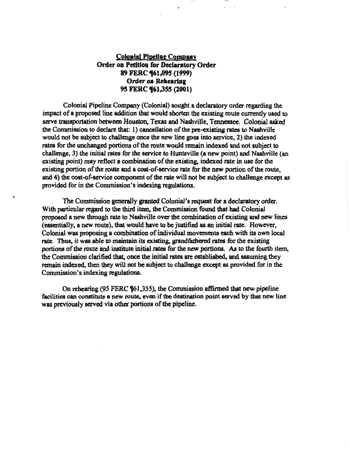# **Colonial Pipeline Company** Order on Petition for Declaratory Order 89 FERC (61,095 (1999) Order on Rehearing 95 FERC **461,355 (2001)**

111 1 I I Ul

Colonial Pipeline Company (Colonial) sought a declaratory order regarding the impact of a proposed line addition that would shorten the existing route currently used to serve transportation between Houston, Texas and Nashville, Tennessee. Colonial asked the Commission to declare that: 1) cancellation of the pre-existing rates to Nashville would not be subject to challenge once the new line goes into service, 2) the indexed rates for the unchanged portions of the route would remain indexed and not subject to challenge, 3) the initial rates for the service to Huntsville (a new point) and Nashville (an existing point) may reflect a combination of the existing. indexed rate in usc for the existing portion of the route and a cost~f-servicc rate for the new portion of the route. and 4) the cost-of-service component of the rate will not be subject to challenge except as provided for in the Commission's indexing regulations.

The Commission generally granted Colonial's request for a declaratory order. With particular regard to the third item, the Commission found that had Colonial proposed a new through rate to Nashville over the combination of existing and new lines (essentially, a new route), that would have to be justified as an initial rate. However, Colonial was proposing a combination of individual movements each with its own local rate. Thus, it was able to maintain its existing, grandfathercd rates for the existing portions of the route and institute initial rates for the new portions. As to the fourth item, the Commission clarified that, once the initial rates are established, and assuming they remain indexed, then they will not be subject to challenge except as provided for in the Commission's indexing regulations.

On rehearing (95 FERC *if61,3SS),* the Commission affirmed that new pipeline facilities can constitute a new route, even if the destination point served by that new line was previously served via other portions of the pipeline.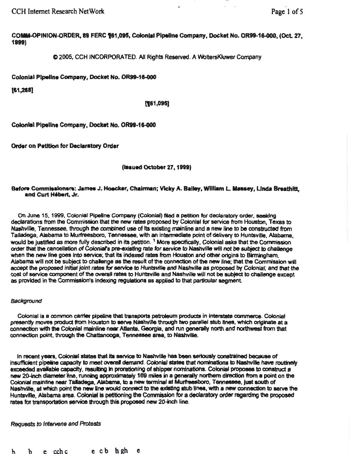CCH Internet Research NetWork

COMM-OPINION-ORDER, 89 FERC 161,095, Colonial Pipeline Company, Docket No. OR99-16-000, (Oct. 27, 1899)

 $Q$  2005, CCH INCORPORATED. All Rights Reserved. A WoltersKluwer Company

Colonial Pipeline Company, Docket No. OR99-16-000

 $[61,268]$ 

### (161,095]

Colonial Pipeline Company, Docket No. OR99-16-000

Order on Petition for Declaratory Order

### (lasued October 27, 1999)

#### Before Commissioners: James J. Hoecker, Chairman; Vicky A. Bailey, William L. Massey, Linda Breathitt, end Curt H6bert. Jr.

On June 15, 1999, Colonial Pipeline Company (Colonial) Ned a petition for declaratory order, seeidng dectarations from the Commission that the new rates proposed by Colonial for service from Houston, Texas to Nashville, Tennessee, through the combined use of its existing mainline and a new line to be constructed from Talladega, Alabama to Murfreesboro, Tennessee, with an intermediate point of delivery to Huntsville, Alabama, would be justified as more fully described in its petition. 1 More spedficalty, Colonial asks that the Commission order that the cancellation of Colonial's pre-existing rate for service to Nashville will not be subject to challenge when the new line goes into service; that its indexed rates from Houston and other origins to Birmingham, Alabama will not be subject to chalenge as the result of the connection of the new line; that the Commisaion will accept the proposed lnltiaf joint rates *tor* servloe to Huntsville and Nashville as proposed by Colonial; and that the cost of service component of the overall rates to Huntsville and Nashville will not be subject to challenge except as provided in the Commission's indexing regulations as applied to that particular segment.

#### Background

Colonial is a common carrier pipeline that transports petroleum products in interstate commerce. Colonial presently moves product from Houston to serve Nashville through two parallel stub lines, which originate at a connection with the Colonial mainline near Atlanta, Georgia, and run generally north and northwest from that connection point, through the Chattanooga, Tennessee area, to Nashville.

In recent years, Colonial states that its service to Nashville has been seriously constrained because of insufficient pipeline capacity to meet overall demand. Colonial states that nominations to Nashville have routinely exceeded available capacity, resulting in prorationing of shipper nominations. Colonial proposes to construct a new 20-inch diameter line, running approximately 169 miles in a generally northern direction from a point on the Colonial mainline near Talladega, Alabama, to a new terminal at Murfreesboro, Tennessee, just south of Nashvilte, at which point the new line would connect to the existing stub lines, with a new connection to eerve the Huntsville, Alabama area. Colonial is petitioning the Commission for a declaratory order regarding the proposed rates for transportation service through this proposed new 20-inch line.

# Requests *to* Intervene and Protests

b b e ccbc e cb hgh e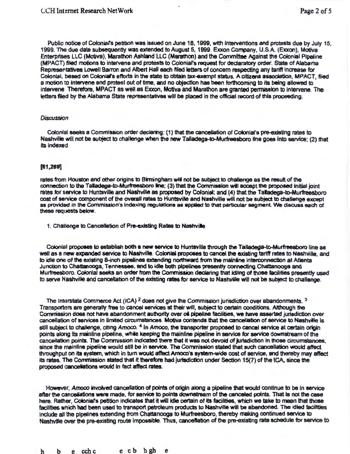Public notice of Colonial's petition was issued on June 18, 1999, with interventions and protests due by July 15, 1999. The due date subsequentfy was extended to August 5, 1999. Exxon Company, U.S.A. (Exxon), Motiva Enterprises LLC {Motiva). Marathon Ashland LLC (Marathon) and the Committee Against the Colonial Plpefine (MPACT) filed motions to intervene and protests to Coloniars request for declaratory order. State of Alabama Representatives Lowell Barron and Albert HaH each filed letters of concem respecting any tariff inaease for Colonial, based on Colonial's efforts in the state to obtain tax-exempt status. A citizens association, MPACT, filed a motion to intervene and protest out of time, and no objection has been forthcoming to its being allowed to intervene Therefore, MPACT as well as Exxon, Motiva and Marathon are granted permission to intervene. The letters filed by the Alabama State representatives will be placed in the official record of this proceeding.

#### **Discussion**

Colonial seeks a Commission order declaring: (1) that the cancellation of Colonial's pre-existing rates to Nashville will not be subject to challenge when the new Talladega-to-Murfreesboro line goes Into service; (2) that Its indexed

#### [81,269]

rates from Houston and other origins to Birmingham will not be subject to challenge as the result of the connection to the Talladega-to-Murfreesboro line; (3) that the Commission will accept the proposed initial joint rates for service to Huntsville and Nashville as proposed by Colonial; and (4) that the Talladega-to-Murfreesboro cost of service component of the overall rates to Huntsville and Nashville will not be subject to challenge except as provided in the Commission's indexing regulations as applied to that particular segment We discuas each of these requests below.

1. Challenge to Cancellation of Pre-existing Rates to Nashville

Colonial proposes to establish both a new service to Huntsville through the Talladega-to-Murfreesboro line aa well as a new expanded service to Nashville. Colonial proposes to cancel the existing tariff rates to Nashville, and to idle one of the existing 8-inch pipelines extending northward from the mainline interconnection at Atlanta Junction to Chattanooga, Tennessee, and to idle both pipelines presently connecting Chattanooga and Murfreeaboro. Colonial seeks an order from the Commission dedaring that ldJing of those facilities presently used to serve Nashville and cancellation of the existing rates for service to Nashville will not be subject to challenge.

The Interstate Commerce Act (ICA)  $2$  does not give the Commission jurisdiction over abandonments.  $3$ Transporters are generally free to canceJ services at their will, subject to certain conditions. Although the Commission does not have abandonment authority over oil pipeline facilities, we have asserted jurisdiction over cancellation of services in limited circumstances. Motiva contends that the cancellation of service to Nashville is still subject to challenge, citing Amoco. <sup>4</sup> In Amoco, the transporter proposed to cancel service at certain origin points along its mainline pipeline, while keeping the mainline pipeline in service for service downstream of the cancellation points. The Commission indicated there that It was not devoid of jurisdiction in those circumstances, since the mainline pipeline would still be in service. The Commission stated that such cancellation would affect throughput on Ita system, which in tum would affect Amoco's system-wide cost of service, and thereby may affect its rates. The Commission stated that it therefore had jurisdiction under Section 15(7) of the ICA, since the proposed cancellations would in fact affect rates.

However, Amoco involved cancellation of points of origin along a pipeline that would continue to be in service after the cancellations were made, for service to points downstream of the canceled points. That is not the case here. Rather, Coloniars petition indicates that it wiU Idle certain of Its facilities, which we take to mean that those facilities which had been used to transport petroleum products to Nashville will be abandoned. The idled facilities include all the pipelines extending from Chattanooga to Murfreesboro, thereby making continued service to Nashville over the pre-existing route impossible. Thus, cancellation of the pre-existing rate schedule for service to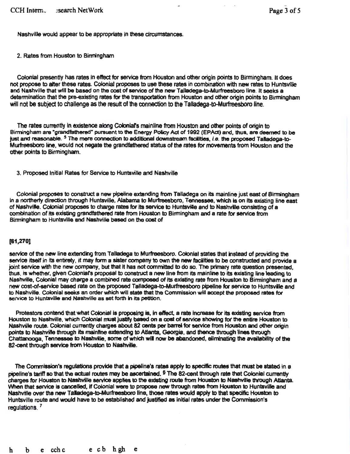Nashville would appear to be appropriate in these circumstances.

2. Rates from Houston to Birmingham

Colonial presently has rates In effect for service from Houston and other origin points to Birmingham. It does not propose to alter these rates. Colonial proposes to use these rates in combination with new rates to HuntsvfUe and Nashville that will be based on the cost of service of the new Talladega-to-Murfreesboro line. It seeks a determination that the pre-existing rates for the transportation from Houston and other origin points to Birmingham will not be subject to challenge as the result of the connection to the Talladega-to-Murfreesboro line.

The rates currently in existence along Colonial's mainline from Houston and other points of origin to Birmingham are "grandfathered" pursuant to the Energy Policy Act of 1992 (EPAct) and, thus, are deemed to be just and reasonable. <sup>5</sup> The mere connection to additional downstream facilities, *i.e.* the proposed Talladega-to-Murfreesboro lile, would not negate the grandfathered status of the rates for movements from Houston and the other points to Birmingham.

3. Proposed Initial Rates for Service to Huntsville and Nashville

Colonial proposes to construct a new pipeline extending from Talladega on its mainline just east of Binningham In a northerty direction through Huntsville, Alabama to Murfreesboro, Tennessee, which is on its existing line east of Nashville. Colonial proposes to charge rates for 118 service to Huntsville and to Nashville consisting of a combination of its existing grandfathered rate from Houston to Birmingham and a rate for service from Birmingham to Huntsville and Nashville based on the cost of

#### (81,270]

service of the new line extending from Talladega to Murfreesboro. Colonial states that instead of providing the service itself in its entirety, it may form a sister company to own the new facilities to be constructed and provide a joint service with the new company, but that It has not comrritled to do so. The primary rate question presented, thus, is whether, given Colonial's proposal to construct a new line from its mainline to its existing line leading to Nashville, Colonial may charge a combined rate composed of its existing rate from Houston to Birmingham and a new cost-of-service based rate on the proposed Talladega-to-Murfreesboro pipeline for service to Huntsville and to Nashville. Colonial seeks an order which will state that the Commission will accept the proposed rates for service to Huntaville and Nashville as set forth in its petition.

Protestors contend that what Colonial is proposing is, in effect, a rate increase for its existing service from Houston to Nashville, which Colonial must justify based on a cost of service showing for the entire Houston to Nashwle route. Colonial currently charges about 82 cents per barrel for service from Housron and other origin points to Nashville through its mainline extending to Atlanta, Georgia, and thence through lines through Chattanooga, Tennessee to Nashville, some of which will now be abandoned, eliminating the availability of the 82-cent through service from Houston to Nashville.

The Commission's regulations provide that a pipeline's rates apply to spedftc routes that must be stated in a pipeline's tariff so that the actual routes may be ascertained. <sup>6</sup> The 82-cent through rate that Colonial currently charges for Houston to Nashville service applies to the existing route from Houston to Nashville through Atlanta. When that service is cancelled, if Colonial were to propose new through rates from Houston to Huntsville and Nashville over the new Talladega-to-Murfreesboro line, those rates would apply to that specific Houston to Huntsville route and would have to be established and justified as Initial rates under the Commission's regulations. <sup>7</sup>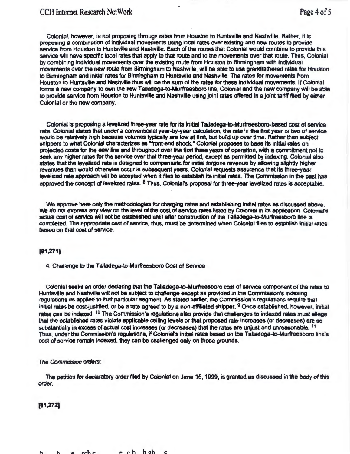# CCH Internet Research NetWork **Page 4 of 5**

Colonial, however, is not proposing through rates from Houston to Huntsville and Nashville. Rather, It is proposing a combination of Individual movements using local rates over existing and new routes to provide service from Houston to Huntsville and Nashville. Each of the routes that Colonial would combine to provide this service will have specific local rates that apply to that route and to the movements over that route. Thus, Colonial by combining individual movements over the existing route from Houston to Birmingham with Individual movements over the new route from Binningham to Nashville, wil be able to use grandfathered rates for Houston to Birming ham and initial rates for Birming ham to Huntsville and Nashville. The rates for movements from Houston to Huntsville and Nashville thus will be the sum of the rates for these individual movements. If Colonial forms a new company to own the new Talladega-to-Murfreesboro line, Colonial and the new company will be able to provide service from Houston to Huntsville and Nashville using joint rates offered in a joint tariff filed by either Colonial or the new company.

Colonial is proposing a levelized three-year rate for its initial Talladega-to-Murfreesboro-based cost of service rate. Colonial states that under a conventional year-by-year calculation, the rate in the first year or two of service would be relatively high because volumes typically are low at first, but build up over time. Rather than subject shippers to what Colonial characterizes as "front-end shock," Colonial proposes to base its initial rates on projected costs for the new line and throughput over the first three years of operation. with a commitment not to seek any higher rates for the service over that three-year period, except as permitted by indexing. Colonial also states that the levelized rate is designed to compensate for initial forgone revenue by allowing slightly higher revenues than would otherwise occur in subsequent years. Colonial requests assurance that its three-year levelized rate approach will be accepted when it files to establish its initial rates. The Commission in the past has approved the concept of levelized rates.  $6$  Thus, Colonial's proposal for three-year levelized rates is acceptable.

We approve here only the methodologies for charging rates and establishing initial rates as discussed above. We do not express any view on the level of the cost of service rates listed by Colonial in its application. Colonial's actual cost of service will not be established until after construction of the Talladega-to-Murfraesboro line Is completed. The appropriate cost of service, lhus, must be detennined when Colonial files to establish initial rates based on that cost of service.

#### [81,271)

4. Challenge to the Talladega-to-Murfreesboro Cost of Service

Colonial seeks an order declaring that the Talladega-to-Murfreesboro cost of service component of the rates to Huntsville and Nashville will not be subject to challenge except as provided in the Commission's indexing regulations as applied to that particular segment As stated earler, the Commission's regulations require that initial rates be cost-justified, or be a rate agreed to by a non-affiliated shipper. 9 Once established, however, initial rates can be indexed.  $10$  The Commission's regulations also provide that challenges to indexed rates must allege that the established rates violate applicable ceiling levels or that proposed rate Increases (or decreases) are so substantially in excess of actual cost increases (or decreases) that the rates are unjust and unreasonable. <sup>11</sup> Thus, under the Commission's regulations, if Colonial's initial rates based on the Talladega-to-Murfreesboro line's cost of service remain indexed, they can be challenged only on these grounds.

#### The Commission orders:

The petition for declaratory order filed by Colonial on June 15, 1999, is granted as discussed in the body of this order.

#### (11,272]

h a cchc e ch hoh e